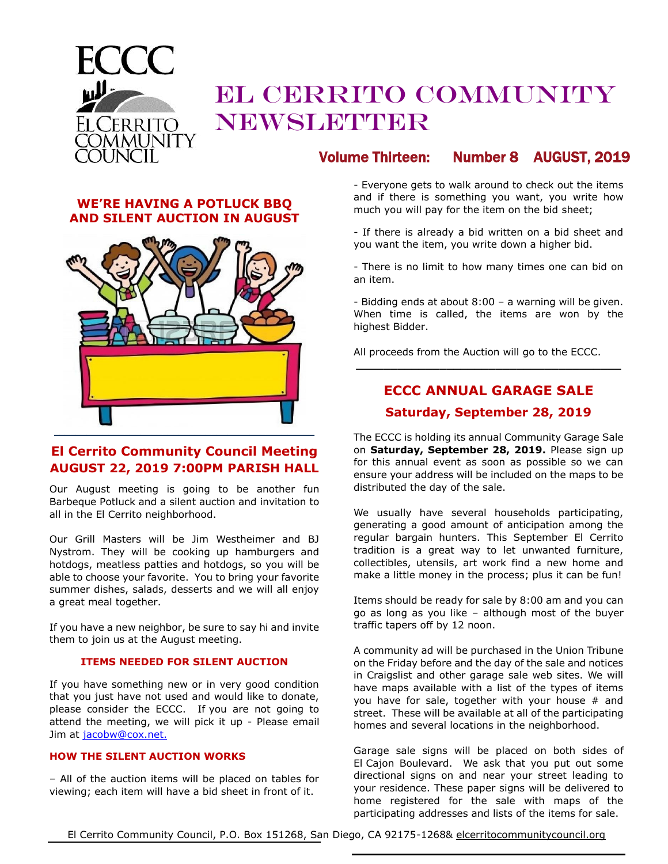

# EL CERRITO COMMUNITY NEWSLETTER

# Volume Thirteen: Number 8 AUGUST, 2019

#### **WE'RE HAVING A POTLUCK BBQ AND SILENT AUCTION IN AUGUST**



## **El Cerrito Community Council Meeting AUGUST 22, 2019 7:00PM PARISH HALL**

Our August meeting is going to be another fun Barbeque Potluck and a silent auction and invitation to all in the El Cerrito neighborhood.

Our Grill Masters will be Jim Westheimer and BJ Nystrom. They will be cooking up hamburgers and hotdogs, meatless patties and hotdogs, so you will be able to choose your favorite. You to bring your favorite summer dishes, salads, desserts and we will all enjoy a great meal together.

If you have a new neighbor, be sure to say hi and invite them to join us at the August meeting.

#### **ITEMS NEEDED FOR SILENT AUCTION**

If you have something new or in very good condition that you just have not used and would like to donate, please consider the ECCC. If you are not going to attend the meeting, we will pick it up - Please email Jim at [jacobw@cox.net.](mailto:jacobw@cox.net)

#### **HOW THE SILENT AUCTION WORKS**

– All of the auction items will be placed on tables for viewing; each item will have a bid sheet in front of it.

- Everyone gets to walk around to check out the items and if there is something you want, you write how much you will pay for the item on the bid sheet;

- If there is already a bid written on a bid sheet and you want the item, you write down a higher bid.

- There is no limit to how many times one can bid on an item.

- Bidding ends at about 8:00 – a warning will be given. When time is called, the items are won by the highest Bidder.

All proceeds from the Auction will go to the ECCC.

# **ECCC ANNUAL GARAGE SALE Saturday, September 28, 2019**

**\_\_\_\_\_\_\_\_\_\_\_\_\_\_\_\_\_\_\_\_\_\_\_\_\_\_\_\_\_\_\_\_\_\_\_\_\_\_**

The ECCC is holding its annual Community Garage Sale on **Saturday, September 28, 2019.** Please sign up for this annual event as soon as possible so we can ensure your address will be included on the maps to be distributed the day of the sale.

We usually have several households participating, generating a good amount of anticipation among the regular bargain hunters. This September El Cerrito tradition is a great way to let unwanted furniture, collectibles, utensils, art work find a new home and make a little money in the process; plus it can be fun!

Items should be ready for sale by 8:00 am and you can go as long as you like – although most of the buyer traffic tapers off by 12 noon.

A community ad will be purchased in the Union Tribune on the Friday before and the day of the sale and notices in Craigslist and other garage sale web sites. We will have maps available with a list of the types of items you have for sale, together with your house # and street. These will be available at all of the participating homes and several locations in the neighborhood.

Garage sale signs will be placed on both sides of El Cajon Boulevard. We ask that you put out some directional signs on and near your street leading to your residence. These paper signs will be delivered to home registered for the sale with maps of the participating addresses and lists of the items for sale.

El Cerrito Community Council, P.O. Box 151268, San Diego, CA 92175-1268& elcerritocommunitycouncil.org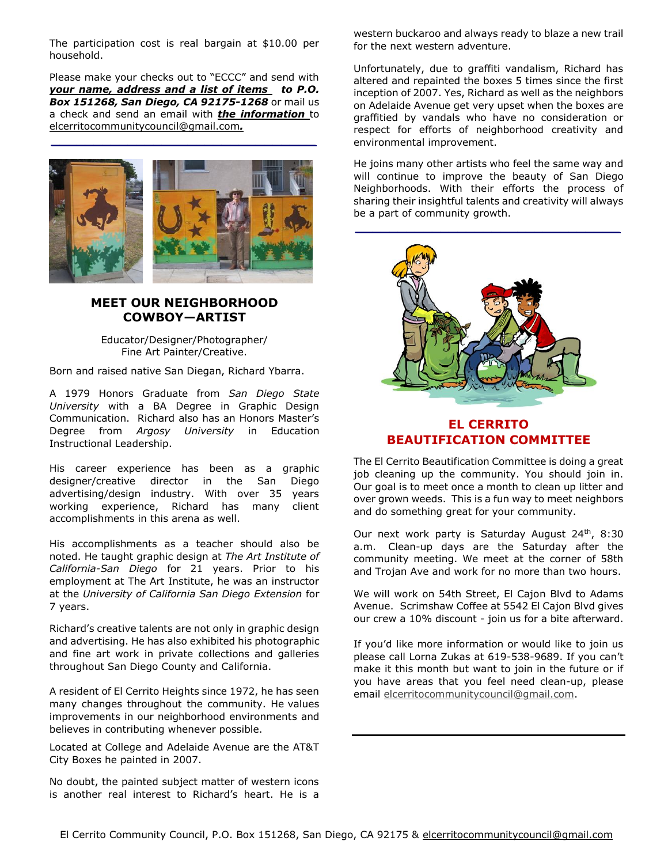The participation cost is real bargain at \$10.00 per household.

Please make your checks out to "ECCC" and send with *your name, address and a list of items to P.O. Box 151268, San Diego, CA 92175-1268* or mail us a check and send an email with *the information* to elcerritocommunitycouncil@gmail.com*.*

*\_\_\_\_\_\_\_\_\_\_\_\_\_\_\_\_\_\_\_\_\_\_\_\_\_\_\_\_\_\_\_*



#### **MEET OUR NEIGHBORHOOD COWBOY—ARTIST**

Educator/Designer/Photographer/ Fine Art Painter/Creative.

Born and raised native San Diegan, Richard Ybarra.

A 1979 Honors Graduate from *San Diego State University* with a BA Degree in Graphic Design Communication. Richard also has an Honors Master's Degree from *Argosy University* in Education Instructional Leadership.

His career experience has been as a graphic designer/creative director in the San Diego advertising/design industry. With over 35 years working experience, Richard has many client accomplishments in this arena as well.

His accomplishments as a teacher should also be noted. He taught graphic design at *The Art Institute of California-San Diego* for 21 years. Prior to his employment at The Art Institute, he was an instructor at the *University of California San Diego Extension* for 7 years.

Richard's creative talents are not only in graphic design and advertising. He has also exhibited his photographic and fine art work in private collections and galleries throughout San Diego County and California.

A resident of El Cerrito Heights since 1972, he has seen many changes throughout the community. He values improvements in our neighborhood environments and believes in contributing whenever possible.

Located at College and Adelaide Avenue are the AT&T City Boxes he painted in 2007.

No doubt, the painted subject matter of western icons is another real interest to Richard's heart. He is a

western buckaroo and always ready to blaze a new trail for the next western adventure.

Unfortunately, due to graffiti vandalism, Richard has altered and repainted the boxes 5 times since the first inception of 2007. Yes, Richard as well as the neighbors on Adelaide Avenue get very upset when the boxes are graffitied by vandals who have no consideration or respect for efforts of neighborhood creativity and environmental improvement.

He joins many other artists who feel the same way and will continue to improve the beauty of San Diego Neighborhoods. With their efforts the process of sharing their insightful talents and creativity will always be a part of community growth.



#### **EL CERRITO BEAUTIFICATION COMMITTEE**

The El Cerrito Beautification Committee is doing a great job cleaning up the community. You should join in. Our goal is to meet once a month to clean up litter and over grown weeds. This is a fun way to meet neighbors and do something great for your community.

Our next work party is Saturday August 24<sup>th</sup>, 8:30 a.m. Clean-up days are the Saturday after the community meeting. We meet at the corner of 58th and Trojan Ave and work for no more than two hours.

We will work on 54th Street, El Cajon Blvd to Adams Avenue. Scrimshaw Coffee at 5542 El Cajon Blvd gives our crew a 10% discount - join us for a bite afterward.

If you'd like more information or would like to join us please call Lorna Zukas at 619-538-9689. If you can't make it this month but want to join in the future or if you have areas that you feel need clean-up, please email [elcerritocommunitycouncil@gmail.com.](mailto:elcerritocommunitycouncil@gmail.com)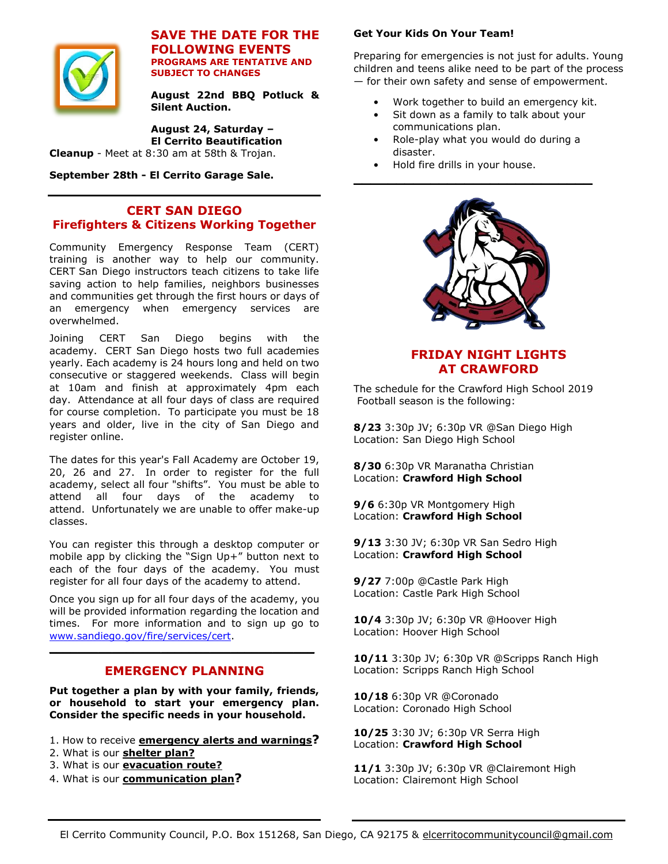

#### **SAVE THE DATE FOR THE FOLLOWING EVENTS PROGRAMS ARE TENTATIVE AND SUBJECT TO CHANGES**

**August 22nd BBQ Potluck & Silent Auction.**

**August 24, Saturday – El Cerrito Beautification** 

**Cleanup** - Meet at 8:30 am at 58th & Trojan.

**September 28th - El Cerrito Garage Sale.** 

#### **CERT SAN DIEGO Firefighters & Citizens Working Together**

Community Emergency Response Team (CERT) training is another way to help our community. CERT San Diego instructors teach citizens to take life saving action to help families, neighbors businesses and communities get through the first hours or days of an emergency when emergency services are overwhelmed.

Joining CERT San Diego begins with the academy. CERT San Diego hosts two full academies yearly. Each academy is 24 hours long and held on two consecutive or staggered weekends. Class will begin at 10am and finish at approximately 4pm each day. Attendance at all four days of class are required for course completion. To participate you must be 18 years and older, live in the city of San Diego and register online.

The dates for this year's Fall Academy are October 19, 20, 26 and 27. In order to register for the full academy, select all four "shifts". You must be able to attend all four days of the academy to attend. Unfortunately we are unable to offer make-up classes.

You can register this through a desktop computer or mobile app by clicking the "Sign Up+" button next to each of the four days of the academy. You must register for all four days of the academy to attend.

Once you sign up for all four days of the academy, you will be provided information regarding the location and times. For more information and to sign up go to [www.sandiego.gov/fire/services/cert.](http://www.sandiego.gov/fire/services/cert)

### **EMERGENCY PLANNING**

**\_\_\_\_\_\_\_\_\_\_\_\_\_\_\_\_\_\_\_\_\_\_\_\_\_\_\_\_\_\_\_\_\_\_\_\_\_\_**

**Put together a plan by with your family, friends, or household to start your emergency plan. Consider the specific needs in your household.**

- 1. How to receive **[emergency alerts and warnings](http://www.ready.gov/alerts)?**
- 2. What is our **[shelter](http://www.ready.gov/shelter) plan?**
- 3. What is our **[evacuation](http://www.ready.gov/evacuation) route?**
- 4. What is our **[communication plan](http://www.ready.gov/make-a-plan)?**

#### **Get Your Kids On Your Team!**

Preparing for emergencies is not just for adults. Young children and teens alike need to be part of the process — for their own safety and sense of empowerment.

- Work together to build an emergency kit.
- Sit down as a family to talk about your communications plan.
- Role-play what you would do during a disaster.

**\_\_\_\_\_\_\_\_\_\_\_\_\_\_\_\_\_\_\_\_\_\_\_\_\_\_\_\_**

• Hold fire drills in your house.



### **FRIDAY NIGHT LIGHTS AT CRAWFORD**

The schedule for the Crawford High School 2019 Football season is the following:

**8/23** 3:30p JV; 6:30p VR @San Diego High Location: San Diego High School

**8/30** 6:30p VR Maranatha Christian Location: **Crawford High School**

**9/6** 6:30p VR Montgomery High Location: **Crawford High School** 

**9/13** 3:30 JV; 6:30p VR San Sedro High Location: **Crawford High School**

**9/27** 7:00p @Castle Park High Location: Castle Park High School

**10/4** 3:30p JV; 6:30p VR @Hoover High Location: Hoover High School

**10/11** 3:30p JV; 6:30p VR @Scripps Ranch High Location: Scripps Ranch High School

**10/18** 6:30p VR @Coronado Location: Coronado High School

**10/25** 3:30 JV; 6:30p VR Serra High Location: **Crawford High School**

**11/1** 3:30p JV; 6:30p VR @Clairemont High Location: Clairemont High School